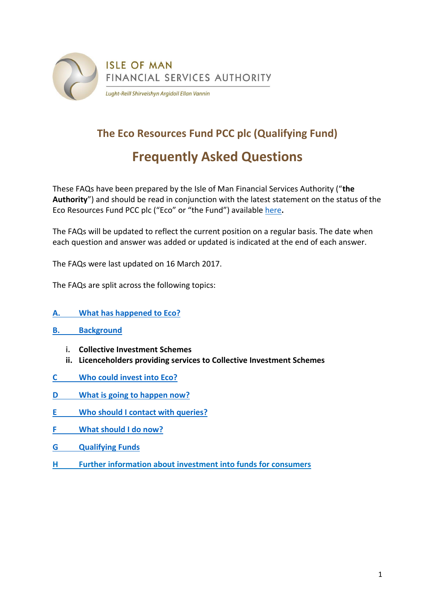

# **The Eco Resources Fund PCC plc (Qualifying Fund) Frequently Asked Questions**

These FAQs have been prepared by the Isle of Man Financial Services Authority ("**the Authority**") and should be read in conjunction with the latest statement on the status of the Eco Resources Fund PCC plc ("Eco" or "the Fund") availabl[e here](http://www.iomfsa.im/ViewNews.gov?page=lib/news/iomfsa/theecoresourcesf2.xml)**.**

The FAQs will be updated to reflect the current position on a regular basis. The date when each question and answer was added or updated is indicated at the end of each answer.

The FAQs were last updated on 16 March 2017.

The FAQs are split across the following topics:

- **A. [What has happened to Eco?](#page-1-0)**
- **B. [Background](#page-2-0)**
	- **i. Collective Investment Schemes**
	- **ii. Licenceholders providing services to Collective Investment Schemes**
- **C [Who could invest into Eco?](#page-4-0)**
- **D What is going [to happen now?](#page-6-0)**
- **E [Who should I contact with queries?](#page-7-0)**
- **F [What should I do now?](#page-8-0)**
- **G [Qualifying](#page-9-0) Funds**
- **H [Further information about investment into funds for consumers](http://www.iomfsa.im/about/faqcollectiveinvestmentschemesfundsandpo.xml)**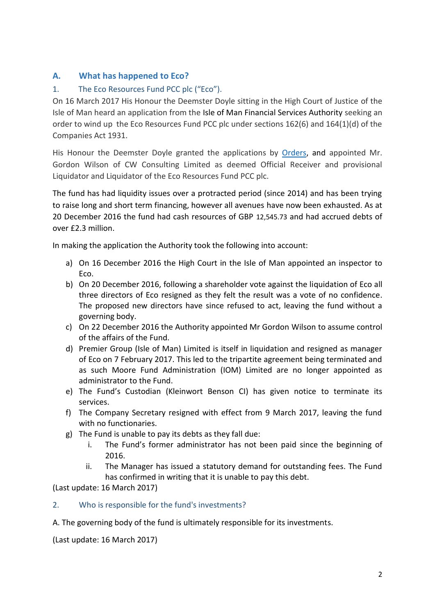# **A. What has happened to Eco?**

# <span id="page-1-0"></span>1. The Eco Resources Fund PCC plc ("Eco").

On 16 March 2017 His Honour the Deemster Doyle sitting in the High Court of Justice of the Isle of Man heard an application from the Isle of Man Financial Services Authority seeking an order to wind up the Eco Resources Fund PCC plc under sections 162(6) and 164(1)(d) of the Companies Act 1931.

His Honour the Deemster Doyle granted the applications by [Orders,](http://www.gov.im/lib/docs/iomfsa/ecocourtorder.pdf) and appointed Mr. Gordon Wilson of CW Consulting Limited as deemed Official Receiver and provisional Liquidator and Liquidator of the Eco Resources Fund PCC plc.

The fund has had liquidity issues over a protracted period (since 2014) and has been trying to raise long and short term financing, however all avenues have now been exhausted. As at 20 December 2016 the fund had cash resources of GBP 12,545.73 and had accrued debts of over £2.3 million.

In making the application the Authority took the following into account:

- a) On 16 December 2016 the High Court in the Isle of Man appointed an inspector to Eco.
- b) On 20 December 2016, following a shareholder vote against the liquidation of Eco all three directors of Eco resigned as they felt the result was a vote of no confidence. The proposed new directors have since refused to act, leaving the fund without a governing body.
- c) On 22 December 2016 the Authority appointed Mr Gordon Wilson to assume control of the affairs of the Fund.
- d) Premier Group (Isle of Man) Limited is itself in liquidation and resigned as manager of Eco on 7 February 2017. This led to the tripartite agreement being terminated and as such Moore Fund Administration (IOM) Limited are no longer appointed as administrator to the Fund.
- e) The Fund's Custodian (Kleinwort Benson CI) has given notice to terminate its services.
- f) The Company Secretary resigned with effect from 9 March 2017, leaving the fund with no functionaries.
- g) The Fund is unable to pay its debts as they fall due:
	- i. The Fund's former administrator has not been paid since the beginning of 2016.
	- ii. The Manager has issued a statutory demand for outstanding fees. The Fund has confirmed in writing that it is unable to pay this debt.

(Last update: 16 March 2017)

#### 2. Who is responsible for the fund's investments?

A. The governing body of the fund is ultimately responsible for its investments.

(Last update: 16 March 2017)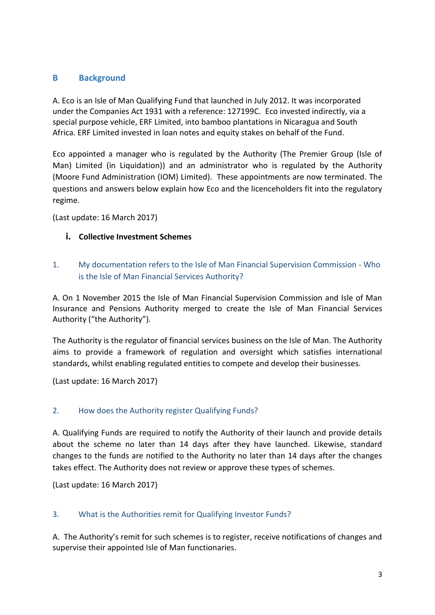# <span id="page-2-0"></span>**B Background**

A. Eco is an Isle of Man Qualifying Fund that launched in July 2012. It was incorporated under the Companies Act 1931 with a reference: 127199C. Eco invested indirectly, via a special purpose vehicle, ERF Limited, into bamboo plantations in Nicaragua and South Africa. ERF Limited invested in loan notes and equity stakes on behalf of the Fund.

Eco appointed a manager who is regulated by the Authority (The Premier Group (Isle of Man) Limited (in Liquidation)) and an administrator who is regulated by the Authority (Moore Fund Administration (IOM) Limited). These appointments are now terminated. The questions and answers below explain how Eco and the licenceholders fit into the regulatory regime.

(Last update: 16 March 2017)

#### **i. Collective Investment Schemes**

# 1. My documentation refers to the Isle of Man Financial Supervision Commission - Who is the Isle of Man Financial Services Authority?

A. On 1 November 2015 the Isle of Man Financial Supervision Commission and Isle of Man Insurance and Pensions Authority merged to create the Isle of Man Financial Services Authority ("the Authority").

The Authority is the regulator of financial services business on the Isle of Man. The Authority aims to provide a framework of regulation and oversight which satisfies international standards, whilst enabling regulated entities to compete and develop their businesses.

(Last update: 16 March 2017)

#### 2. How does the Authority register Qualifying Funds?

A. Qualifying Funds are required to notify the Authority of their launch and provide details about the scheme no later than 14 days after they have launched. Likewise, standard changes to the funds are notified to the Authority no later than 14 days after the changes takes effect. The Authority does not review or approve these types of schemes.

(Last update: 16 March 2017)

#### 3. What is the Authorities remit for Qualifying Investor Funds?

A. The Authority's remit for such schemes is to register, receive notifications of changes and supervise their appointed Isle of Man functionaries.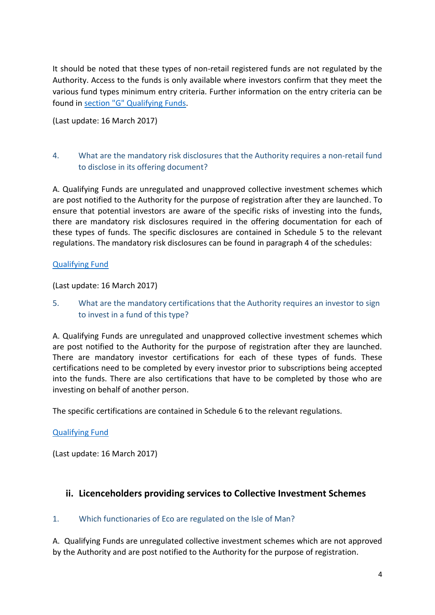It should be noted that these types of non-retail registered funds are not regulated by the Authority. Access to the funds is only available where investors confirm that they meet the various fund types minimum entry criteria. Further information on the entry criteria can be found in section "G" [Qualifying Funds](#page-9-0).

(Last update: 16 March 2017)

# 4. What are the mandatory risk disclosures that the Authority requires a non-retail fund to disclose in its offering document?

A. Qualifying Funds are unregulated and unapproved collective investment schemes which are post notified to the Authority for the purpose of registration after they are launched. To ensure that potential investors are aware of the specific risks of investing into the funds, there are mandatory risk disclosures required in the offering documentation for each of these types of funds. The specific disclosures are contained in Schedule 5 to the relevant regulations. The mandatory risk disclosures can be found in paragraph 4 of the schedules:

### [Qualifying Fund](#page-10-0)

(Last update: 16 March 2017)

5. What are the mandatory certifications that the Authority requires an investor to sign to invest in a fund of this type?

A. Qualifying Funds are unregulated and unapproved collective investment schemes which are post notified to the Authority for the purpose of registration after they are launched. There are mandatory investor certifications for each of these types of funds. These certifications need to be completed by every investor prior to subscriptions being accepted into the funds. There are also certifications that have to be completed by those who are investing on behalf of another person.

The specific certifications are contained in Schedule 6 to the relevant regulations.

# [Qualifying Fund](#page-12-0)

(Last update: 16 March 2017)

# **ii. Licenceholders providing services to Collective Investment Schemes**

#### 1. Which functionaries of Eco are regulated on the Isle of Man?

A. Qualifying Funds are unregulated collective investment schemes which are not approved by the Authority and are post notified to the Authority for the purpose of registration.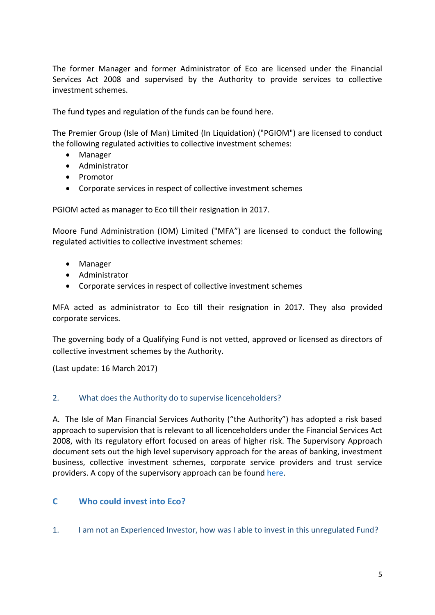The former Manager and former Administrator of Eco are licensed under the Financial Services Act 2008 and supervised by the Authority to provide services to collective investment schemes.

The fund types and regulation of the funds can be found here.

The Premier Group (Isle of Man) Limited (In Liquidation) ("PGIOM") are licensed to conduct the following regulated activities to collective investment schemes:

- Manager
- Administrator
- Promotor
- Corporate services in respect of collective investment schemes

PGIOM acted as manager to Eco till their resignation in 2017.

Moore Fund Administration (IOM) Limited ("MFA") are licensed to conduct the following regulated activities to collective investment schemes:

- Manager
- Administrator
- Corporate services in respect of collective investment schemes

MFA acted as administrator to Eco till their resignation in 2017. They also provided corporate services.

The governing body of a Qualifying Fund is not vetted, approved or licensed as directors of collective investment schemes by the Authority.

(Last update: 16 March 2017)

#### 2. What does the Authority do to supervise licenceholders?

A. The Isle of Man Financial Services Authority ("the Authority") has adopted a risk based approach to supervision that is relevant to all licenceholders under the Financial Services Act 2008, with its regulatory effort focused on areas of higher risk. The Supervisory Approach document sets out the high level supervisory approach for the areas of banking, investment business, collective investment schemes, corporate service providers and trust service providers. A copy of the supervisory approach can be found [here.](http://www.iomfsa.im/policy/Supervisory_Approach/approach.xml)

# <span id="page-4-0"></span>**C Who could invest into Eco?**

1. I am not an Experienced Investor, how was I able to invest in this unregulated Fund?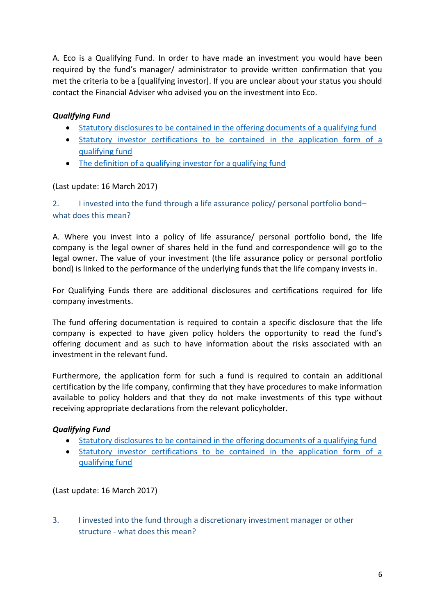A. Eco is a Qualifying Fund. In order to have made an investment you would have been required by the fund's manager/ administrator to provide written confirmation that you met the criteria to be a [qualifying investor]. If you are unclear about your status you should contact the Financial Adviser who advised you on the investment into Eco.

## *Qualifying Fund*

- [Statutory disclosures to be contained in the offering documents of a qualifying fund](#page-10-0)
- [Statutory investor certifications to be contained in the application form of a](#page-12-0)  [qualifying fund](#page-12-0)
- The definition of a qualifying [investor for a qualifying fund](#page-14-0)

#### (Last update: 16 March 2017)

2. I invested into the fund through a life assurance policy/ personal portfolio bond– what does this mean?

A. Where you invest into a policy of life assurance/ personal portfolio bond, the life company is the legal owner of shares held in the fund and correspondence will go to the legal owner. The value of your investment (the life assurance policy or personal portfolio bond) is linked to the performance of the underlying funds that the life company invests in.

For Qualifying Funds there are additional disclosures and certifications required for life company investments.

The fund offering documentation is required to contain a specific disclosure that the life company is expected to have given policy holders the opportunity to read the fund's offering document and as such to have information about the risks associated with an investment in the relevant fund.

Furthermore, the application form for such a fund is required to contain an additional certification by the life company, confirming that they have procedures to make information available to policy holders and that they do not make investments of this type without receiving appropriate declarations from the relevant policyholder.

#### *Qualifying Fund*

- [Statutory disclosures to be contained in the offering documents of a qualifying fund](#page-10-0)
- [Statutory investor certifications to be contained in the application form of a](#page-12-0)  [qualifying fund](#page-12-0)

(Last update: 16 March 2017)

3. I invested into the fund through a discretionary investment manager or other structure - what does this mean?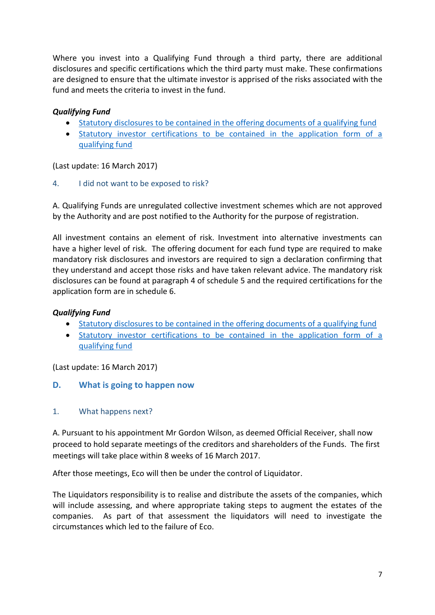Where you invest into a Qualifying Fund through a third party, there are additional disclosures and specific certifications which the third party must make. These confirmations are designed to ensure that the ultimate investor is apprised of the risks associated with the fund and meets the criteria to invest in the fund.

# *Qualifying Fund*

- [Statutory disclosures to be contained in the offering documents of a qualifying fund](#page-10-0)
- [Statutory investor certifications to be contained in the application form of a](#page-12-0)  [qualifying fund](#page-12-0)

(Last update: 16 March 2017)

#### 4. I did not want to be exposed to risk?

A. Qualifying Funds are unregulated collective investment schemes which are not approved by the Authority and are post notified to the Authority for the purpose of registration.

All investment contains an element of risk. Investment into alternative investments can have a higher level of risk. The offering document for each fund type are required to make mandatory risk disclosures and investors are required to sign a declaration confirming that they understand and accept those risks and have taken relevant advice. The mandatory risk disclosures can be found at paragraph 4 of schedule 5 and the required certifications for the application form are in schedule 6.

## *Qualifying Fund*

- [Statutory disclosures to be contained in the offering documents of a qualifying fund](#page-10-0)
- [Statutory investor certifications to be contained in the application form of a](#page-12-0)  [qualifying fund](#page-12-0)

<span id="page-6-0"></span>(Last update: 16 March 2017)

#### **D. What is going to happen now**

#### 1. What happens next?

A. Pursuant to his appointment Mr Gordon Wilson, as deemed Official Receiver, shall now proceed to hold separate meetings of the creditors and shareholders of the Funds. The first meetings will take place within 8 weeks of 16 March 2017.

After those meetings, Eco will then be under the control of Liquidator.

The Liquidators responsibility is to realise and distribute the assets of the companies, which will include assessing, and where appropriate taking steps to augment the estates of the companies. As part of that assessment the liquidators will need to investigate the circumstances which led to the failure of Eco.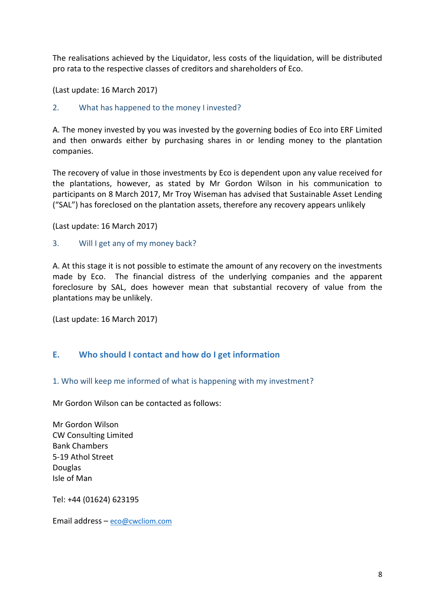The realisations achieved by the Liquidator, less costs of the liquidation, will be distributed pro rata to the respective classes of creditors and shareholders of Eco.

(Last update: 16 March 2017)

2. What has happened to the money I invested?

A. The money invested by you was invested by the governing bodies of Eco into ERF Limited and then onwards either by purchasing shares in or lending money to the plantation companies.

The recovery of value in those investments by Eco is dependent upon any value received for the plantations, however, as stated by Mr Gordon Wilson in his communication to participants on 8 March 2017, Mr Troy Wiseman has advised that Sustainable Asset Lending ("SAL") has foreclosed on the plantation assets, therefore any recovery appears unlikely

(Last update: 16 March 2017)

#### 3. Will I get any of my money back?

A. At this stage it is not possible to estimate the amount of any recovery on the investments made by Eco. The financial distress of the underlying companies and the apparent foreclosure by SAL, does however mean that substantial recovery of value from the plantations may be unlikely.

(Last update: 16 March 2017)

#### <span id="page-7-0"></span>**E. Who should I contact and how do I get information**

#### 1. Who will keep me informed of what is happening with my investment?

Mr Gordon Wilson can be contacted as follows:

Mr Gordon Wilson CW Consulting Limited Bank Chambers 5-19 Athol Street Douglas Isle of Man

Tel: +44 (01624) 623195

Email address – [eco@cwcliom.com](mailto:eco@cwcliom.com)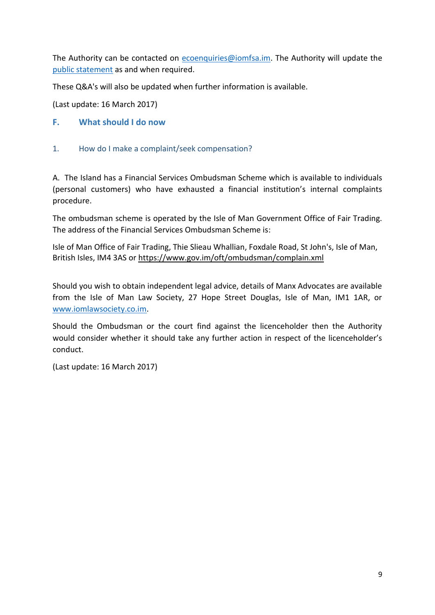The Authority can be contacted on [ecoenquiries@iomfsa.im.](mailto:ecoenquiries@iomfsa.im) The Authority will update the [public statement](../AppData/Local/Microsoft/Windows/Temporary%20Internet%20Files/Content.Outlook/6UMWPLY6/03.16%20Eco%20-%20Draft%20Public%20Statement.docx) as and when required.

These Q&A's will also be updated when further information is available.

(Last update: 16 March 2017)

- <span id="page-8-0"></span>**F. What should I do now**
- 1. How do I make a complaint/seek compensation?

A. The Island has a Financial Services Ombudsman Scheme which is available to individuals (personal customers) who have exhausted a financial institution's internal complaints procedure.

The ombudsman scheme is operated by the Isle of Man Government Office of Fair Trading. The address of the Financial Services Ombudsman Scheme is:

Isle of Man Office of Fair Trading, Thie Slieau Whallian, Foxdale Road, St John's, Isle of Man, British Isles, IM4 3AS or<https://www.gov.im/oft/ombudsman/complain.xml>

Should you wish to obtain independent legal advice, details of Manx Advocates are available from the Isle of Man Law Society, 27 Hope Street Douglas, Isle of Man, IM1 1AR, or [www.iomlawsociety.co.im.](http://www.iomlawsociety.co.im/)

Should the Ombudsman or the court find against the licenceholder then the Authority would consider whether it should take any further action in respect of the licenceholder's conduct.

(Last update: 16 March 2017)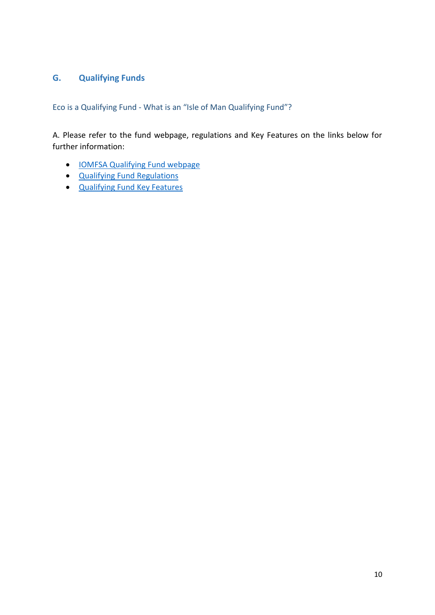# <span id="page-9-0"></span>**G. Qualifying Funds**

Eco is a Qualifying Fund - What is an "Isle of Man Qualifying Fund"?

A. Please refer to the fund webpage, regulations and Key Features on the links below for further information:

- [IOMFSA Qualifying Fund webpage](http://www.iomfsa.im/qualifyingfundaregisteredfund.xml?menuid=25719)
- [Qualifying Fund Regulations](https://www.gov.im/lib/docs/fsc/handbooks/guides/Cis/qualifyingfundregs2010.pdf)
- [Qualifying Fund Key Features](https://www.gov.im/lib/docs/fsc/handbooks/guides/Cis/keyfeaturesregulatedsfandqf.pdf)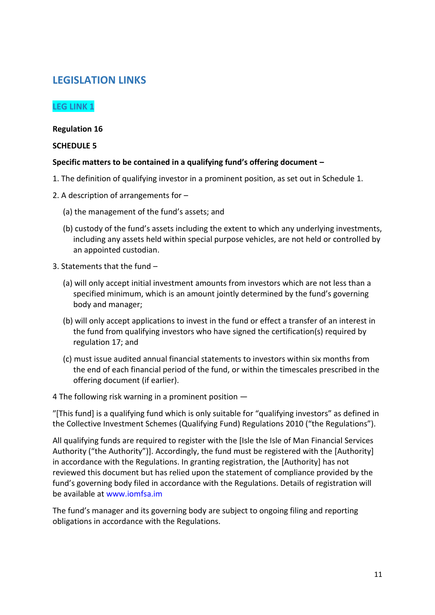# **LEGISLATION LINKS**

# <span id="page-10-0"></span>**LEG LINK 1**

#### **Regulation 16**

#### **SCHEDULE 5**

#### **Specific matters to be contained in a qualifying fund's offering document –**

- 1. The definition of qualifying investor in a prominent position, as set out in Schedule 1.
- 2. A description of arrangements for
	- (a) the management of the fund's assets; and
	- (b) custody of the fund's assets including the extent to which any underlying investments, including any assets held within special purpose vehicles, are not held or controlled by an appointed custodian.
- 3. Statements that the fund
	- (a) will only accept initial investment amounts from investors which are not less than a specified minimum, which is an amount jointly determined by the fund's governing body and manager;
	- (b) will only accept applications to invest in the fund or effect a transfer of an interest in the fund from qualifying investors who have signed the certification(s) required by regulation 17; and
	- (c) must issue audited annual financial statements to investors within six months from the end of each financial period of the fund, or within the timescales prescribed in the offering document (if earlier).

4 The following risk warning in a prominent position ―

ʺ[This fund] is a qualifying fund which is only suitable for "qualifying investors" as defined in the Collective Investment Schemes (Qualifying Fund) Regulations 2010 ("the Regulations").

All qualifying funds are required to register with the [Isle the Isle of Man Financial Services Authority ("the Authority")]. Accordingly, the fund must be registered with the [Authority] in accordance with the Regulations. In granting registration, the [Authority] has not reviewed this document but has relied upon the statement of compliance provided by the fund's governing body filed in accordance with the Regulations. Details of registration will be available at www.iomfsa.im

The fund's manager and its governing body are subject to ongoing filing and reporting obligations in accordance with the Regulations.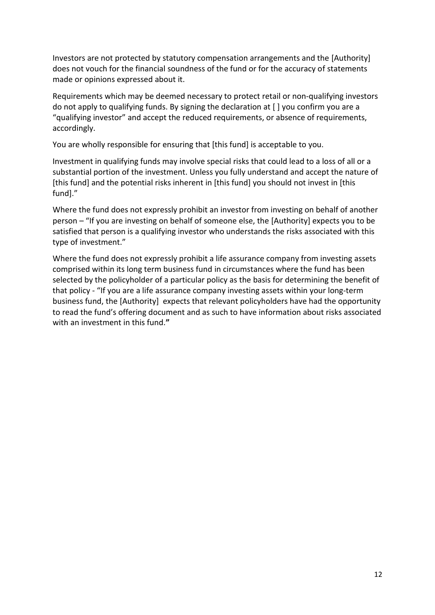Investors are not protected by statutory compensation arrangements and the [Authority] does not vouch for the financial soundness of the fund or for the accuracy of statements made or opinions expressed about it.

Requirements which may be deemed necessary to protect retail or non‐qualifying investors do not apply to qualifying funds. By signing the declaration at [ ] you confirm you are a "qualifying investor" and accept the reduced requirements, or absence of requirements, accordingly.

You are wholly responsible for ensuring that [this fund] is acceptable to you.

Investment in qualifying funds may involve special risks that could lead to a loss of all or a substantial portion of the investment. Unless you fully understand and accept the nature of [this fund] and the potential risks inherent in [this fund] you should not invest in [this fund]."

Where the fund does not expressly prohibit an investor from investing on behalf of another person – "If you are investing on behalf of someone else, the [Authority] expects you to be satisfied that person is a qualifying investor who understands the risks associated with this type of investment."

Where the fund does not expressly prohibit a life assurance company from investing assets comprised within its long term business fund in circumstances where the fund has been selected by the policyholder of a particular policy as the basis for determining the benefit of that policy ‐ "If you are a life assurance company investing assets within your long‐term business fund, the [Authority] expects that relevant policyholders have had the opportunity to read the fund's offering document and as such to have information about risks associated with an investment in this fund.**"**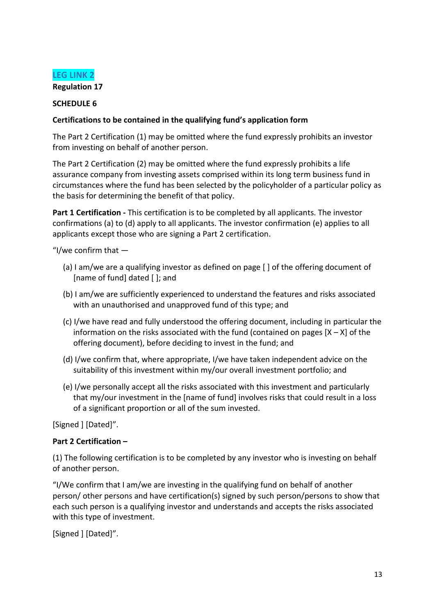<span id="page-12-0"></span>

#### **SCHEDULE 6**

#### **Certifications to be contained in the qualifying fund's application form**

The Part 2 Certification (1) may be omitted where the fund expressly prohibits an investor from investing on behalf of another person.

The Part 2 Certification (2) may be omitted where the fund expressly prohibits a life assurance company from investing assets comprised within its long term business fund in circumstances where the fund has been selected by the policyholder of a particular policy as the basis for determining the benefit of that policy.

**Part 1 Certification** - This certification is to be completed by all applicants. The investor confirmations (a) to (d) apply to all applicants. The investor confirmation (e) applies to all applicants except those who are signing a Part 2 certification.

"I/we confirm that ―

- (a) I am/we are a qualifying investor as defined on page [ ] of the offering document of [name of fund] dated [ ]; and
- (b) I am/we are sufficiently experienced to understand the features and risks associated with an unauthorised and unapproved fund of this type; and
- (c) I/we have read and fully understood the offering document, including in particular the information on the risks associated with the fund (contained on pages  $[X - X]$  of the offering document), before deciding to invest in the fund; and
- (d) I/we confirm that, where appropriate, I/we have taken independent advice on the suitability of this investment within my/our overall investment portfolio; and
- (e) I/we personally accept all the risks associated with this investment and particularly that my/our investment in the [name of fund] involves risks that could result in a loss of a significant proportion or all of the sum invested.

[Signed ] [Dated]".

#### **Part 2 Certification –**

(1) The following certification is to be completed by any investor who is investing on behalf of another person.

"I/We confirm that I am/we are investing in the qualifying fund on behalf of another person/ other persons and have certification(s) signed by such person/persons to show that each such person is a qualifying investor and understands and accepts the risks associated with this type of investment.

[Signed ] [Dated]".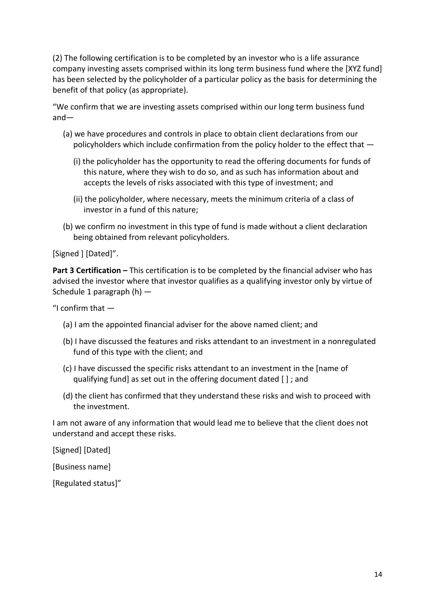(2) The following certification is to be completed by an investor who is a life assurance company investing assets comprised within its long term business fund where the [XYZ fund] has been selected by the policyholder of a particular policy as the basis for determining the benefit of that policy (as appropriate).

"We confirm that we are investing assets comprised within our long term business fund and―

- (a) we have procedures and controls in place to obtain client declarations from our policyholders which include confirmation from the policy holder to the effect that ―
	- (i) the policyholder has the opportunity to read the offering documents for funds of this nature, where they wish to do so, and as such has information about and accepts the levels of risks associated with this type of investment; and
	- (ii) the policyholder, where necessary, meets the minimum criteria of a class of investor in a fund of this nature;
- (b) we confirm no investment in this type of fund is made without a client declaration being obtained from relevant policyholders.

[Signed ] [Dated]".

**Part 3 Certification –** This certification is to be completed by the financial adviser who has advised the investor where that investor qualifies as a qualifying investor only by virtue of Schedule 1 paragraph  $(h)$  —

"I confirm that  $-$ 

- (a) I am the appointed financial adviser for the above named client; and
- (b) I have discussed the features and risks attendant to an investment in a nonregulated fund of this type with the client; and
- (c) I have discussed the specific risks attendant to an investment in the [name of qualifying fund] as set out in the offering document dated [ ] ; and
- (d) the client has confirmed that they understand these risks and wish to proceed with the investment.

I am not aware of any information that would lead me to believe that the client does not understand and accept these risks.

[Signed] [Dated]

[Business name]

[Regulated status]"